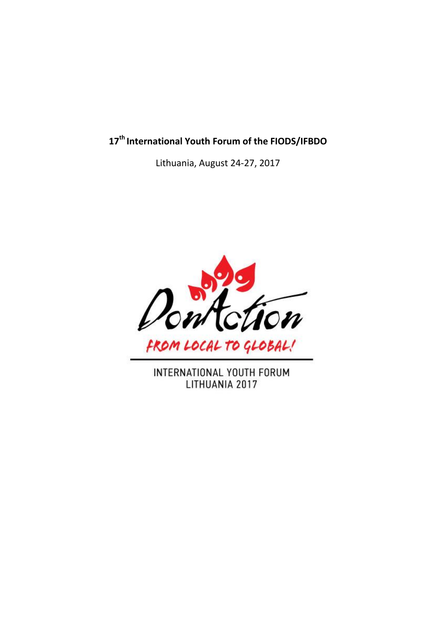# **17th International Youth Forum of the FIODS/IFBDO**

Lithuania, August 24-27, 2017



INTERNATIONAL YOUTH FORUM LITHUANIA 2017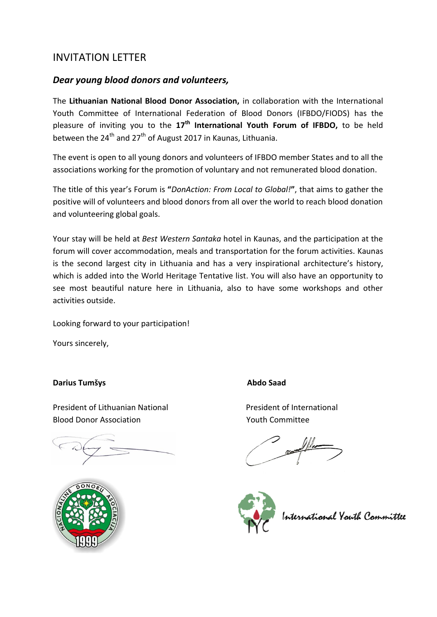## INVITATION LETTER

#### *Dear young blood donors and volunteers,*

The **Lithuanian National Blood Donor Association,** in collaboration with the International Youth Committee of International Federation of Blood Donors (IFBDO/FIODS) has the pleasure of inviting you to the **17th International Youth Forum of IFBDO,** to be held between the  $24<sup>th</sup>$  and  $27<sup>th</sup>$  of August 2017 in Kaunas, Lithuania.

The event is open to all young donors and volunteers of IFBDO member States and to all the associations working for the promotion of voluntary and not remunerated blood donation.

The title of this year's Forum is **"***DonAction: From Local to Global!***"**, that aims to gather the positive will of volunteers and blood donors from all over the world to reach blood donation and volunteering global goals.

Your stay will be held at *Best Western Santaka* hotel in Kaunas, and the participation at the forum will cover accommodation, meals and transportation for the forum activities. Kaunas is the second largest city in Lithuania and has a very inspirational architecture's history, which is added into the World Heritage Tentative list. You will also have an opportunity to see most beautiful nature here in Lithuania, also to have some workshops and other activities outside.

Looking forward to your participation!

Yours sincerely,

#### **Darius Tumšys Abdo Saad**

President of Lithuanian National President of International Blood Donor Association Youth Committee



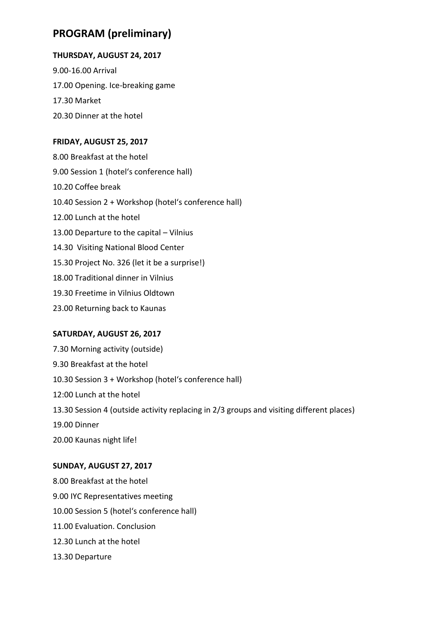## **PROGRAM (preliminary)**

#### **THURSDAY, AUGUST 24, 2017**

9.00-16.00 Arrival 17.00 Opening. Ice-breaking game 17.30 Market 20.30 Dinner at the hotel

#### **FRIDAY, AUGUST 25, 2017**

8.00 Breakfast at the hotel 9.00 Session 1 (hotel's conference hall) 10.20 Coffee break 10.40 Session 2 + Workshop (hotel's conference hall) 12.00 Lunch at the hotel 13.00 Departure to the capital – Vilnius 14.30 Visiting National Blood Center 15.30 Project No. 326 (let it be a surprise!) 18.00 Traditional dinner in Vilnius 19.30 Freetime in Vilnius Oldtown 23.00 Returning back to Kaunas

#### **SATURDAY, AUGUST 26, 2017**

7.30 Morning activity (outside) 9.30 Breakfast at the hotel 10.30 Session 3 + Workshop (hotel's conference hall) 12:00 Lunch at the hotel 13.30 Session 4 (outside activity replacing in 2/3 groups and visiting different places) 19.00 Dinner 20.00 Kaunas night life!

#### **SUNDAY, AUGUST 27, 2017**

8.00 Breakfast at the hotel 9.00 IYC Representatives meeting 10.00 Session 5 (hotel's conference hall) 11.00 Evaluation. Conclusion 12.30 Lunch at the hotel 13.30 Departure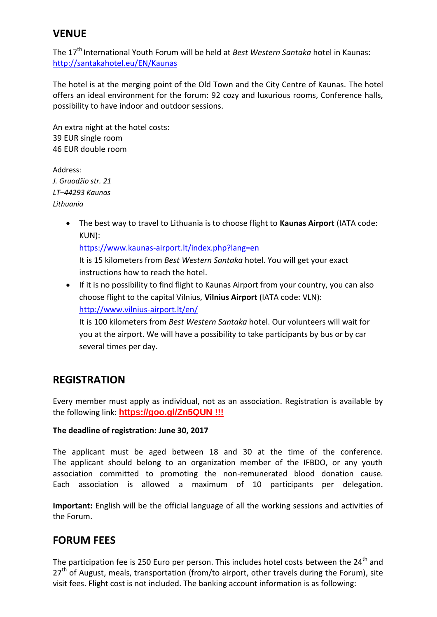## **VENUE**

The 17<sup>th</sup> International Youth Forum will be held at *Best Western Santaka* hotel in Kaunas: <http://santakahotel.eu/EN/Kaunas>

The hotel is at the merging point of the Old Town and the City Centre of Kaunas. The hotel offers an ideal environment for the forum: 92 cozy and luxurious rooms, Conference halls, possibility to have indoor and outdoor sessions.

An extra night at the hotel costs: 39 EUR single room 46 EUR double room

Address: *J. Gruodžio str. 21 LT–44293 Kaunas Lithuania*

> The best way to travel to Lithuania is to choose flight to **Kaunas Airport** (IATA code: KUN):

<https://www.kaunas-airport.lt/index.php?lang=en>

It is 15 kilometers from *Best Western Santaka* hotel. You will get your exact instructions how to reach the hotel.

 If it is no possibility to find flight to Kaunas Airport from your country, you can also choose flight to the capital Vilnius, **Vilnius Airport** (IATA code: VLN): <http://www.vilnius-airport.lt/en/>

It is 100 kilometers from *Best Western Santaka* hotel. Our volunteers will wait for you at the airport. We will have a possibility to take participants by bus or by car several times per day.

## **REGISTRATION**

Every member must apply as individual, not as an association. Registration is available by the following link: **<https://goo.gl/Zn5QUN> !!!**

#### **The deadline of registration: June 30, 2017**

The applicant must be aged between 18 and 30 at the time of the conference. The applicant should belong to an organization member of the IFBDO, or any youth association committed to promoting the non-remunerated blood donation cause. Each association is allowed a maximum of 10 participants per delegation.

**Important:** English will be the official language of all the working sessions and activities of the Forum.

## **FORUM FEES**

The participation fee is 250 Euro per person. This includes hotel costs between the 24<sup>th</sup> and  $27<sup>th</sup>$  of August, meals, transportation (from/to airport, other travels during the Forum), site visit fees. Flight cost is not included. The banking account information is as following: